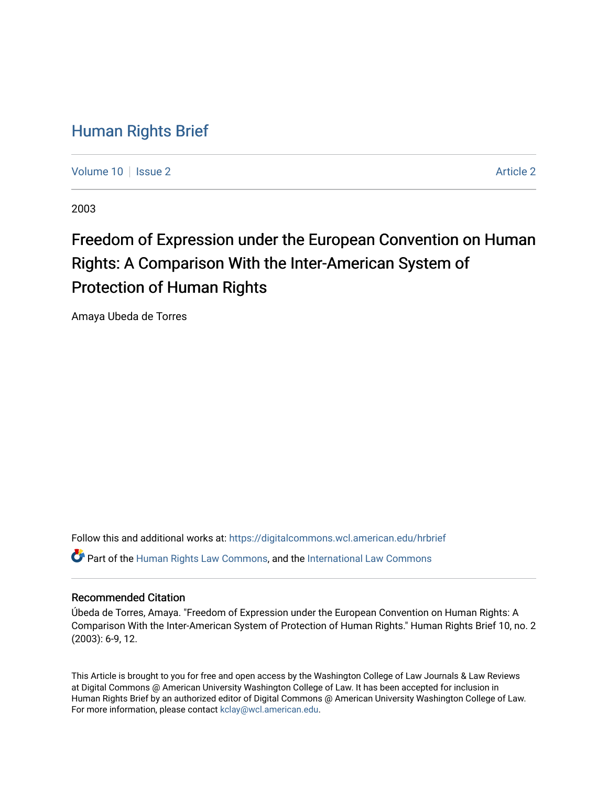# [Human Rights Brief](https://digitalcommons.wcl.american.edu/hrbrief)

[Volume 10](https://digitalcommons.wcl.american.edu/hrbrief/vol10) | [Issue 2](https://digitalcommons.wcl.american.edu/hrbrief/vol10/iss2) [Article 2](https://digitalcommons.wcl.american.edu/hrbrief/vol10/iss2/2) Article 2 Article 2 Article 2 Article 2 Article 2 Article 2 Article 2 Article 2

2003

# Freedom of Expression under the European Convention on Human Rights: A Comparison With the Inter-American System of Protection of Human Rights

Amaya Ubeda de Torres

Follow this and additional works at: [https://digitalcommons.wcl.american.edu/hrbrief](https://digitalcommons.wcl.american.edu/hrbrief?utm_source=digitalcommons.wcl.american.edu%2Fhrbrief%2Fvol10%2Fiss2%2F2&utm_medium=PDF&utm_campaign=PDFCoverPages)  Part of the [Human Rights Law Commons,](http://network.bepress.com/hgg/discipline/847?utm_source=digitalcommons.wcl.american.edu%2Fhrbrief%2Fvol10%2Fiss2%2F2&utm_medium=PDF&utm_campaign=PDFCoverPages) and the [International Law Commons](http://network.bepress.com/hgg/discipline/609?utm_source=digitalcommons.wcl.american.edu%2Fhrbrief%2Fvol10%2Fiss2%2F2&utm_medium=PDF&utm_campaign=PDFCoverPages) 

# Recommended Citation

Úbeda de Torres, Amaya. "Freedom of Expression under the European Convention on Human Rights: A Comparison With the Inter-American System of Protection of Human Rights." Human Rights Brief 10, no. 2 (2003): 6-9, 12.

This Article is brought to you for free and open access by the Washington College of Law Journals & Law Reviews at Digital Commons @ American University Washington College of Law. It has been accepted for inclusion in Human Rights Brief by an authorized editor of Digital Commons @ American University Washington College of Law. For more information, please contact [kclay@wcl.american.edu.](mailto:kclay@wcl.american.edu)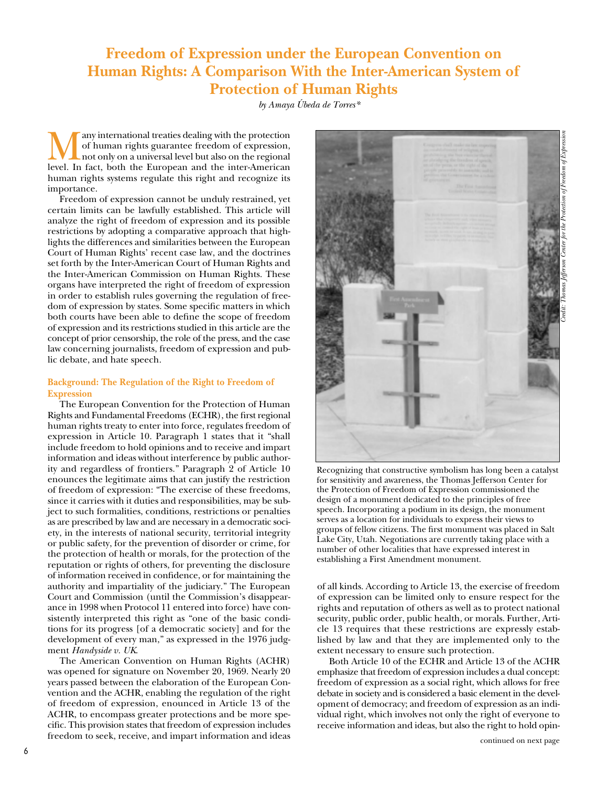# **Freedom of Expression under the European Convention on Human Rights: A Comparison With the Inter-American System of Protection of Human Rights**

*by Amaya Úbeda de Torres\** 

Many international treaties dealing with the protection of human rights guarantee freedom of expression, not only on a universal level but also on the regional level. In fact, both the European and the inter-American of human rights guarantee freedom of expression, not only on a universal level but also on the regional human rights systems regulate this right and recognize its importance.

Freedom of expression cannot be unduly restrained, yet certain limits can be lawfully established. This article will analyze the right of freedom of expression and its possible restrictions by adopting a comparative approach that highlights the differences and similarities between the European Court of Human Rights' recent case law, and the doctrines set forth by the Inter-American Court of Human Rights and the Inter-American Commission on Human Rights. These organs have interpreted the right of freedom of expression in order to establish rules governing the regulation of freedom of expression by states. Some specific matters in which both courts have been able to define the scope of freedom of expression and its restrictions studied in this article are the concept of prior censorship, the role of the press, and the case law concerning journalists, freedom of expression and public debate, and hate speech.

## **Background: The Regulation of the Right to Freedom of Expression**

The European Convention for the Protection of Human Rights and Fundamental Freedoms (ECHR), the first regional human rights treaty to enter into force, regulates freedom of expression in Article 10. Paragraph 1 states that it "shall include freedom to hold opinions and to receive and impart information and ideas without interference by public authority and regardless of frontiers." Paragraph 2 of Article 10 enounces the legitimate aims that can justify the restriction of freedom of expression: "The exercise of these freedoms, since it carries with it duties and responsibilities, may be subject to such formalities, conditions, restrictions or penalties as are prescribed by law and are necessary in a democratic society, in the interests of national security, territorial integrity or public safety, for the prevention of disorder or crime, for the protection of health or morals, for the protection of the reputation or rights of others, for preventing the disclosure of information received in confidence, or for maintaining the authority and impartiality of the judiciary." The European Court and Commission (until the Commission's disappearance in 1998 when Protocol 11 entered into force) have consistently interpreted this right as "one of the basic conditions for its progress [of a democratic society] and for the development of every man," as expressed in the 1976 judgment *Handyside v. UK*.

The American Convention on Human Rights (ACHR) was opened for signature on November 20, 1969. Nearly 20 years passed between the elaboration of the European Convention and the ACHR, enabling the regulation of the right of freedom of expression, enounced in Article 13 of the ACHR, to encompass greater protections and be more specific. This provision states that freedom of expression includes freedom to seek, receive, and impart information and ideas



Recognizing that constructive symbolism has long been a catalyst for sensitivity and awareness, the Thomas Jefferson Center for the Protection of Freedom of Expression commissioned the design of a monument dedicated to the principles of free speech. Incorporating a podium in its design, the monument serves as a location for individuals to express their views to groups of fellow citizens. The first monument was placed in Salt Lake City, Utah. Negotiations are currently taking place with a number of other localities that have expressed interest in establishing a First Amendment monument.

of all kinds. According to Article 13, the exercise of freedom of expression can be limited only to ensure respect for the rights and reputation of others as well as to protect national security, public order, public health, or morals. Further, Article 13 requires that these restrictions are expressly established by law and that they are implemented only to the extent necessary to ensure such protection.

Both Article 10 of the ECHR and Article 13 of the ACHR emphasize that freedom of expression includes a dual concept: freedom of expression as a social right, which allows for free debate in society and is considered a basic element in the development of democracy; and freedom of expression as an individual right, which involves not only the right of everyone to receive information and ideas, but also the right to hold opin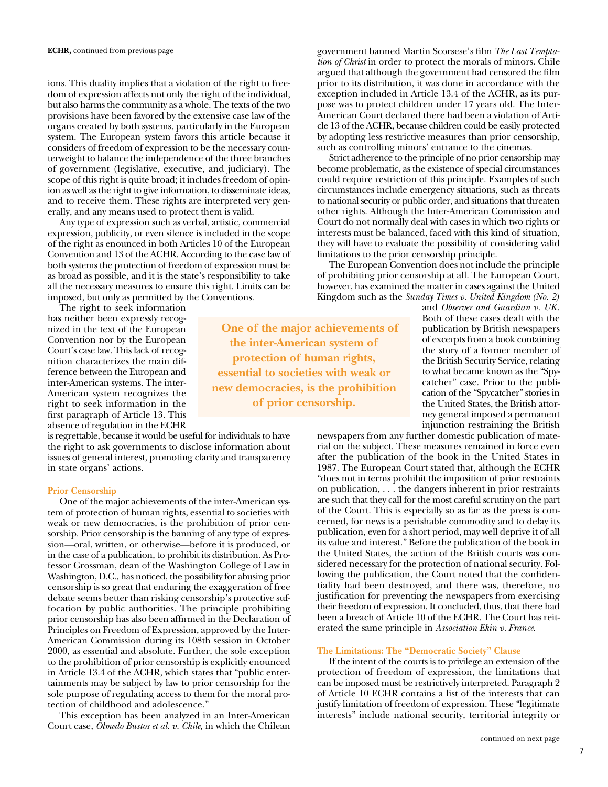ions. This duality implies that a violation of the right to freedom of expression affects not only the right of the individual, but also harms the community as a whole. The texts of the two provisions have been favored by the extensive case law of the organs created by both systems, particularly in the European system. The European system favors this article because it considers of freedom of expression to be the necessary counterweight to balance the independence of the three branches of government (legislative, executive, and judiciary). The scope of this right is quite broad; it includes freedom of opinion as well as the right to give information, to disseminate ideas, and to receive them. These rights are interpreted very generally, and any means used to protect them is valid.

Any type of expression such as verbal, artistic, commercial expression, publicity, or even silence is included in the scope of the right as enounced in both Articles 10 of the European Convention and 13 of the ACHR. According to the case law of both systems the protection of freedom of expression must be as broad as possible, and it is the state's responsibility to take all the necessary measures to ensure this right. Limits can be imposed, but only as permitted by the Conventions.

The right to seek information has neither been expressly recognized in the text of the European Convention nor by the European Court's case law. This lack of recognition characterizes the main difference between the European and inter-American systems. The inter-American system recognizes the right to seek information in the first paragraph of Article 13. This absence of regulation in the ECHR

is regrettable, because it would be useful for individuals to have the right to ask governments to disclose information about issues of general interest, promoting clarity and transparency in state organs' actions.

#### **Prior Censorship**

One of the major achievements of the inter-American system of protection of human rights, essential to societies with weak or new democracies, is the prohibition of prior censorship. Prior censorship is the banning of any type of expression—oral, written, or otherwise—before it is produced, or in the case of a publication, to prohibit its distribution. As Professor Grossman, dean of the Washington College of Law in Washington, D.C., has noticed, the possibility for abusing prior censorship is so great that enduring the exaggeration of free debate seems better than risking censorship's protective suffocation by public authorities. The principle prohibiting prior censorship has also been affirmed in the Declaration of Principles on Freedom of Expression, approved by the Inter-American Commission during its 108th session in October 2000, as essential and absolute. Further, the sole exception to the prohibition of prior censorship is explicitly enounced in Article 13.4 of the ACHR, which states that "public entertainments may be subject by law to prior censorship for the sole purpose of regulating access to them for the moral protection of childhood and adolescence."

This exception has been analyzed in an Inter-American Court case, *Olmedo Bustos et al. v. Chile,* in which the Chilean government banned Martin Scorsese's film *The Last Temptation of Christ* in order to protect the morals of minors. Chile argued that although the government had censored the film prior to its distribution, it was done in accordance with the exception included in Article 13.4 of the ACHR, as its purpose was to protect children under 17 years old. The Inter-American Court declared there had been a violation of Article 13 of the ACHR, because children could be easily protected by adopting less restrictive measures than prior censorship, such as controlling minors' entrance to the cinemas.

Strict adherence to the principle of no prior censorship may become problematic, as the existence of special circumstances could require restriction of this principle. Examples of such circumstances include emergency situations, such as threats to national security or public order, and situations that threaten other rights. Although the Inter-American Commission and Court do not normally deal with cases in which two rights or interests must be balanced, faced with this kind of situation, they will have to evaluate the possibility of considering valid limitations to the prior censorship principle.

The European Convention does not include the principle of prohibiting prior censorship at all. The European Court, however, has examined the matter in cases against the United Kingdom such as the *Sunday Times v. United Kingdom (No. 2)*

**One of the major achievements of the inter-American system of protection of human rights, essential to societies with weak or new democracies, is the prohibition of prior censorship.** 

and *Observer and Guardian v. UK*. Both of these cases dealt with the publication by British newspapers of excerpts from a book containing the story of a former member of the British Security Service, relating to what became known as the "Spycatcher" case. Prior to the publication of the "Spycatcher" stories in the United States, the British attorney general imposed a permanent injunction restraining the British

newspapers from any further domestic publication of material on the subject. These measures remained in force even after the publication of the book in the United States in 1987. The European Court stated that, although the ECHR "does not in terms prohibit the imposition of prior restraints on publication, . . . the dangers inherent in prior restraints are such that they call for the most careful scrutiny on the part of the Court. This is especially so as far as the press is concerned, for news is a perishable commodity and to delay its publication, even for a short period, may well deprive it of all its value and interest." Before the publication of the book in the United States, the action of the British courts was considered necessary for the protection of national security. Following the publication, the Court noted that the confidentiality had been destroyed, and there was, therefore, no justification for preventing the newspapers from exercising their freedom of expression. It concluded, thus, that there had been a breach of Article 10 of the ECHR. The Court has reiterated the same principle in *Association Ekin v. France*.

#### **The Limitations: The "Democratic Society" Clause**

If the intent of the courts is to privilege an extension of the protection of freedom of expression, the limitations that can be imposed must be restrictively interpreted. Paragraph 2 of Article 10 ECHR contains a list of the interests that can justify limitation of freedom of expression. These "legitimate interests" include national security, territorial integrity or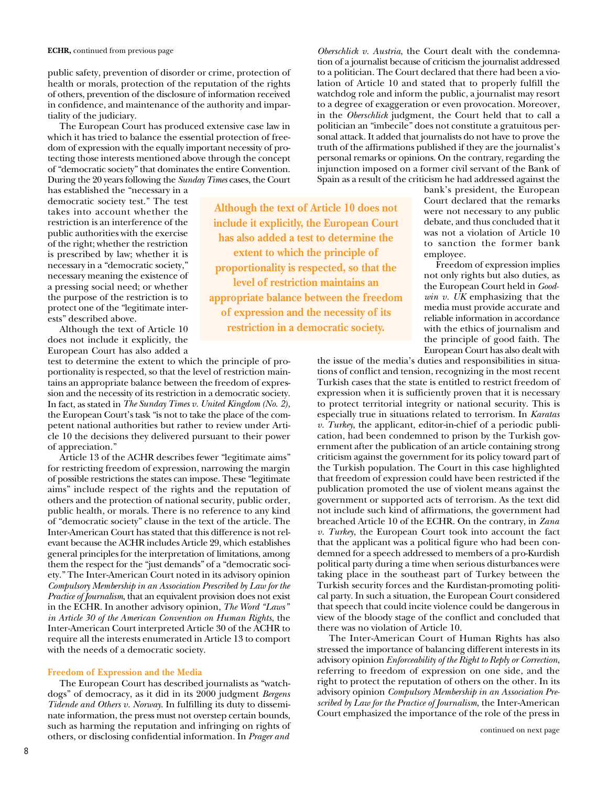public safety, prevention of disorder or crime, protection of health or morals, protection of the reputation of the rights of others, prevention of the disclosure of information received in confidence, and maintenance of the authority and impartiality of the judiciary.

The European Court has produced extensive case law in which it has tried to balance the essential protection of freedom of expression with the equally important necessity of protecting those interests mentioned above through the concept of "democratic society" that dominates the entire Convention. During the 20 years following the *Sunday Times* cases, the Court

has established the "necessary in a democratic society test." The test takes into account whether the restriction is an interference of the public authorities with the exercise of the right; whether the restriction is prescribed by law; whether it is necessary in a "democratic society," necessary meaning the existence of a pressing social need; or whether the purpose of the restriction is to protect one of the "legitimate interests" described above.

Although the text of Article 10 does not include it explicitly, the European Court has also added a

test to determine the extent to which the principle of proportionality is respected, so that the level of restriction maintains an appropriate balance between the freedom of expression and the necessity of its restriction in a democratic society. In fact, as stated in *The Sunday Times v. United Kingdom (No. 2)*, the European Court's task "is not to take the place of the competent national authorities but rather to review under Article 10 the decisions they delivered pursuant to their power of appreciation."

Article 13 of the ACHR describes fewer "legitimate aims" for restricting freedom of expression, narrowing the margin of possible restrictions the states can impose. These "legitimate aims" include respect of the rights and the reputation of others and the protection of national security, public order, public health, or morals. There is no reference to any kind of "democratic society" clause in the text of the article. The Inter-American Court has stated that this difference is not relevant because the ACHR includes Article 29, which establishes general principles for the interpretation of limitations, among them the respect for the "just demands" of a "democratic society." The Inter-American Court noted in its advisory opinion *Compulsory Membership in an Association Prescribed by Law for the Practice of Journalism*, that an equivalent provision does not exist in the ECHR. In another advisory opinion, *The Word "Laws" in Article 30 of the American Convention on Human Rights*, the Inter-American Court interpreted Article 30 of the ACHR to require all the interests enumerated in Article 13 to comport with the needs of a democratic society.

#### **Freedom of Expression and the Media**

The European Court has described journalists as "watchdogs" of democracy, as it did in its 2000 judgment *Bergens Tidende and Others v. Norway*. In fulfilling its duty to disseminate information, the press must not overstep certain bounds, such as harming the reputation and infringing on rights of others, or disclosing confidential information. In *Prager and*

**Although the text of Article 10 does not include it explicitly, the European Court has also added a test to determine the extent to which the principle of proportionality is respected, so that the level of restriction maintains an appropriate balance between the freedom of expression and the necessity of its restriction in a democratic society.**

*Oberschlick v. Austria*, the Court dealt with the condemnation of a journalist because of criticism the journalist addressed to a politician. The Court declared that there had been a violation of Article 10 and stated that to properly fulfill the watchdog role and inform the public, a journalist may resort to a degree of exaggeration or even provocation. Moreover, in the *Oberschlick* judgment, the Court held that to call a politician an "imbecile" does not constitute a gratuitous personal attack. It added that journalists do not have to prove the truth of the affirmations published if they are the journalist's personal remarks or opinions. On the contrary, regarding the injunction imposed on a former civil servant of the Bank of Spain as a result of the criticism he had addressed against the

> bank's president, the European Court declared that the remarks were not necessary to any public debate, and thus concluded that it was not a violation of Article 10 to sanction the former bank employee.

> Freedom of expression implies not only rights but also duties, as the European Court held in *Goodwin v. UK* emphasizing that the media must provide accurate and reliable information in accordance with the ethics of journalism and the principle of good faith. The European Court has also dealt with

the issue of the media's duties and responsibilities in situations of conflict and tension, recognizing in the most recent Turkish cases that the state is entitled to restrict freedom of expression when it is sufficiently proven that it is necessary to protect territorial integrity or national security. This is especially true in situations related to terrorism. In *Karatas v. Turkey*, the applicant, editor-in-chief of a periodic publication, had been condemned to prison by the Turkish government after the publication of an article containing strong criticism against the government for its policy toward part of the Turkish population. The Court in this case highlighted that freedom of expression could have been restricted if the publication promoted the use of violent means against the government or supported acts of terrorism. As the text did not include such kind of affirmations, the government had breached Article 10 of the ECHR. On the contrary, in *Zana v. Turkey*, the European Court took into account the fact that the applicant was a political figure who had been condemned for a speech addressed to members of a pro-Kurdish political party during a time when serious disturbances were taking place in the southeast part of Turkey between the Turkish security forces and the Kurdistan-promoting political party. In such a situation, the European Court considered that speech that could incite violence could be dangerous in view of the bloody stage of the conflict and concluded that there was no violation of Article 10.

The Inter-American Court of Human Rights has also stressed the importance of balancing different interests in its advisory opinion *Enforceability of the Right to Reply or Correction*, referring to freedom of expression on one side, and the right to protect the reputation of others on the other. In its advisory opinion *Compulsory Membership in an Association Prescribed by Law for the Practice of Journalism*, the Inter-American Court emphasized the importance of the role of the press in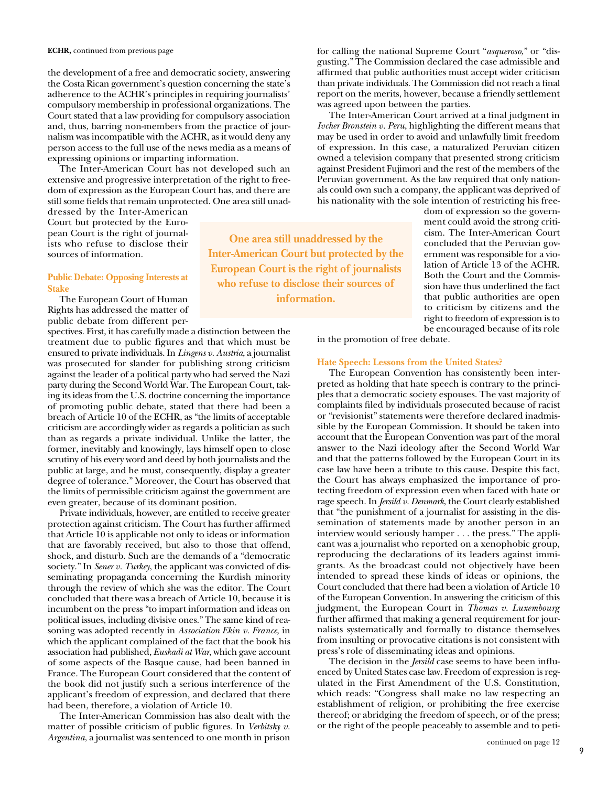the development of a free and democratic society, answering the Costa Rican government's question concerning the state's adherence to the ACHR's principles in requiring journalists' compulsory membership in professional organizations. The Court stated that a law providing for compulsory association and, thus, barring non-members from the practice of journalism was incompatible with the ACHR, as it would deny any person access to the full use of the news media as a means of expressing opinions or imparting information.

The Inter-American Court has not developed such an extensive and progressive interpretation of the right to freedom of expression as the European Court has, and there are still some fields that remain unprotected. One area still unad-

dressed by the Inter-American Court but protected by the European Court is the right of journalists who refuse to disclose their sources of information.

## **Public Debate: Opposing Interests at Stake**

The European Court of Human Rights has addressed the matter of public debate from different per-

spectives. First, it has carefully made a distinction between the treatment due to public figures and that which must be ensured to private individuals. In *Lingens v. Austria*, a journalist was prosecuted for slander for publishing strong criticism against the leader of a political party who had served the Nazi party during the Second World War. The European Court, taking its ideas from the U.S. doctrine concerning the importance of promoting public debate, stated that there had been a breach of Article 10 of the ECHR, as "the limits of acceptable criticism are accordingly wider as regards a politician as such than as regards a private individual. Unlike the latter, the former, inevitably and knowingly, lays himself open to close scrutiny of his every word and deed by both journalists and the public at large, and he must, consequently, display a greater degree of tolerance." Moreover, the Court has observed that the limits of permissible criticism against the government are even greater, because of its dominant position.

Private individuals, however, are entitled to receive greater protection against criticism. The Court has further affirmed that Article 10 is applicable not only to ideas or information that are favorably received, but also to those that offend, shock, and disturb. Such are the demands of a "democratic society." In *Sener v. Turkey*, the applicant was convicted of disseminating propaganda concerning the Kurdish minority through the review of which she was the editor. The Court concluded that there was a breach of Article 10, because it is incumbent on the press "to impart information and ideas on political issues, including divisive ones." The same kind of reasoning was adopted recently in *Association Ekin v. France*, in which the applicant complained of the fact that the book his association had published, *Euskadi at War*, which gave account of some aspects of the Basque cause, had been banned in France. The European Court considered that the content of the book did not justify such a serious interference of the applicant's freedom of expression, and declared that there had been, therefore, a violation of Article 10.

The Inter-American Commission has also dealt with the matter of possible criticism of public figures. In *Verbitsky v. Argentina*, a journalist was sentenced to one month in prison for calling the national Supreme Court "*asqueroso*," or "disgusting." The Commission declared the case admissible and affirmed that public authorities must accept wider criticism than private individuals. The Commission did not reach a final report on the merits, however, because a friendly settlement was agreed upon between the parties.

The Inter-American Court arrived at a final judgment in *Ivcher Bronstein v. Peru*, highlighting the different means that may be used in order to avoid and unlawfully limit freedom of expression. In this case, a naturalized Peruvian citizen owned a television company that presented strong criticism against President Fujimori and the rest of the members of the Peruvian government. As the law required that only nationals could own such a company, the applicant was deprived of his nationality with the sole intention of restricting his free-

**One area still unaddressed by the Inter-American Court but protected by the European Court is the right of journalists who refuse to disclose their sources of information.** 

dom of expression so the government could avoid the strong criticism. The Inter-American Court concluded that the Peruvian government was responsible for a violation of Article 13 of the ACHR. Both the Court and the Commission have thus underlined the fact that public authorities are open to criticism by citizens and the right to freedom of expression is to be encouraged because of its role

in the promotion of free debate.

### **Hate Speech: Lessons from the United States?**

The European Convention has consistently been interpreted as holding that hate speech is contrary to the principles that a democratic society espouses. The vast majority of complaints filed by individuals prosecuted because of racist or "revisionist" statements were therefore declared inadmissible by the European Commission. It should be taken into account that the European Convention was part of the moral answer to the Nazi ideology after the Second World War and that the patterns followed by the European Court in its case law have been a tribute to this cause. Despite this fact, the Court has always emphasized the importance of protecting freedom of expression even when faced with hate or rage speech. In *Jersild v. Denmark*, the Court clearly established that "the punishment of a journalist for assisting in the dissemination of statements made by another person in an interview would seriously hamper . . . the press." The applicant was a journalist who reported on a xenophobic group, reproducing the declarations of its leaders against immigrants. As the broadcast could not objectively have been intended to spread these kinds of ideas or opinions, the Court concluded that there had been a violation of Article 10 of the European Convention. In answering the criticism of this judgment, the European Court in *Thomas v. Luxembourg* further affirmed that making a general requirement for journalists systematically and formally to distance themselves from insulting or provocative citations is not consistent with press's role of disseminating ideas and opinions.

The decision in the *Jersild* case seems to have been influenced by United States case law. Freedom of expression is regulated in the First Amendment of the U.S. Constitution, which reads: "Congress shall make no law respecting an establishment of religion, or prohibiting the free exercise thereof; or abridging the freedom of speech, or of the press; or the right of the people peaceably to assemble and to peti